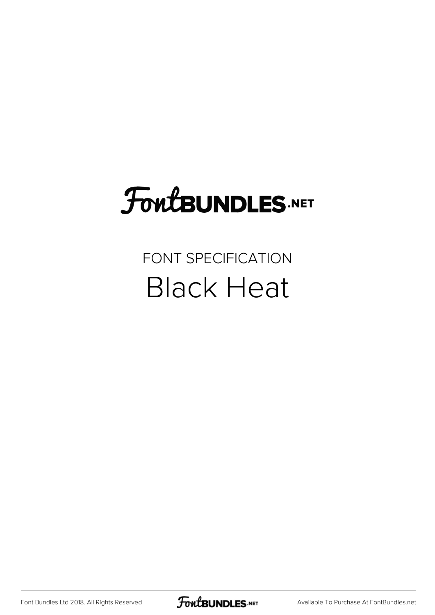# **FoutBUNDLES.NET**

### FONT SPECIFICATION Black Heat

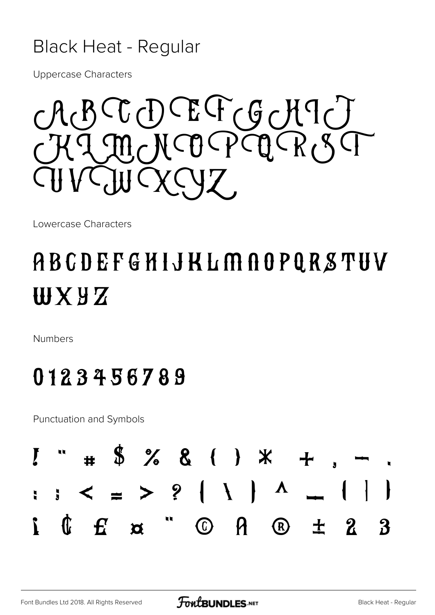#### **Black Heat - Regular**

**Uppercase Characters** 

RCCCDCEFCGCHICT I MCKCO PCQ RIST

Lowercase Characters

## ABCDEFGHIJKLMAOPQRSTUV **WXYZ**

**Numbers** 

### 0123456789

**Punctuation and Symbols** 

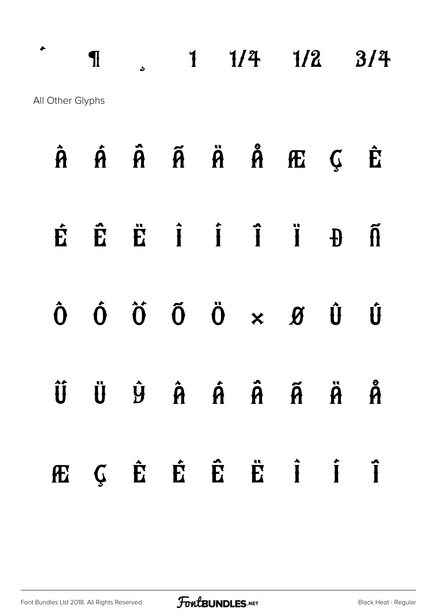$\cdot$  1  $\frac{1}{4}$   $\frac{1}{2}$   $\frac{3}{4}$ All Other Glyphs

|  |  |  | $\hat{A}$ $\hat{A}$ $\hat{A}$ $\hat{A}$ $\hat{B}$ $\hat{B}$ $\hat{C}$ $\hat{E}$                                                                                                                        |  |
|--|--|--|--------------------------------------------------------------------------------------------------------------------------------------------------------------------------------------------------------|--|
|  |  |  | ÉËË HIJ J J J J J J                                                                                                                                                                                    |  |
|  |  |  | $\begin{array}{ccccccccccccc}\n\hat{\mathbf{O}} & \hat{\mathbf{O}} & \hat{\mathbf{O}} & \hat{\mathbf{O}} & \hat{\mathbf{O}} & \times & \mathcal{B} & \hat{\mathbf{U}} & \hat{\mathbf{U}}\n\end{array}$ |  |
|  |  |  | ŨÜ Ÿ Â Á Â Ã Ä Å                                                                                                                                                                                       |  |
|  |  |  | ÆÇÊ Ë Ë Ë İ Î                                                                                                                                                                                          |  |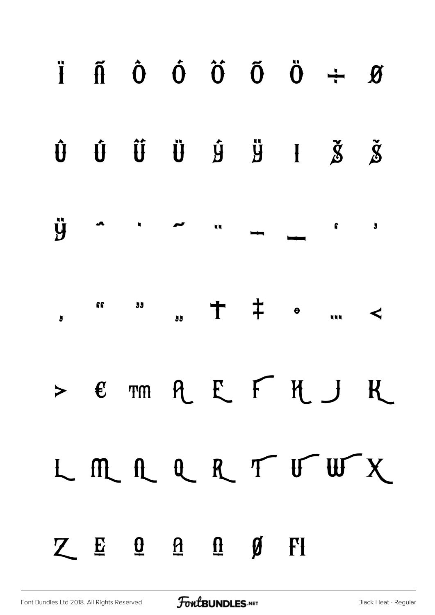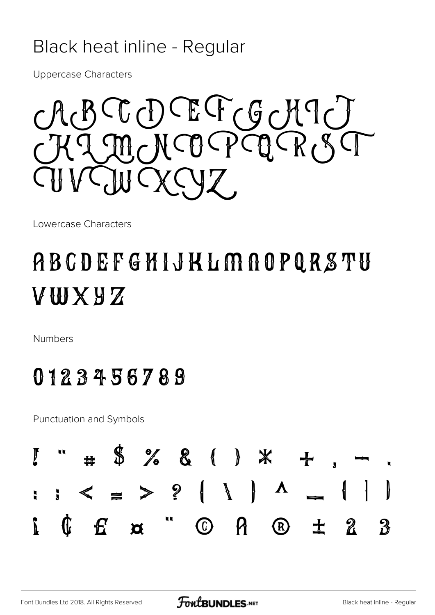#### Black heat inline - Regular

**Uppercase Characters** 

CGDEFGCHICT MCNCO PCQ RIST

Lowercase Characters

## ABCDEFGHIJKLMAOPQRSTU **AMXAX**

**Numbers** 

#### 0123456789

**Punctuation and Symbols** 

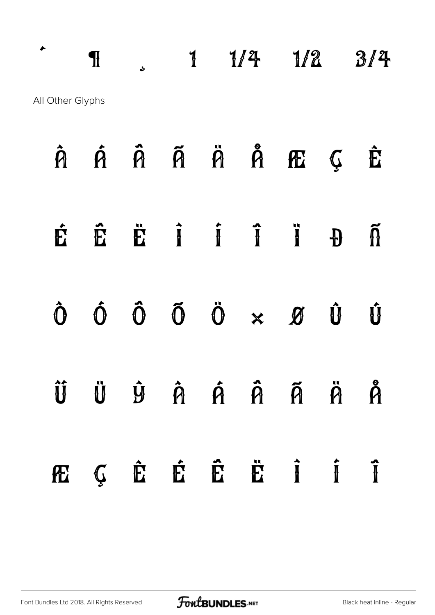$\cdot$  1  $\frac{1}{4}$  1/2  $\frac{3}{4}$ All Other Glyphs

|  |  |  | $\hat{A}$ $\hat{A}$ $\hat{A}$ $\hat{A}$ $\hat{B}$ $\hat{B}$ $\hat{C}$ $\hat{E}$                                                             |  |
|--|--|--|---------------------------------------------------------------------------------------------------------------------------------------------|--|
|  |  |  | ÉÊË Î Î Î Ï Đ Ñ                                                                                                                             |  |
|  |  |  | $\begin{array}{ccccccccccccccccc} \hat{O} & \hat{O} & \hat{O} & \hat{O} & \hat{O} & \times & \mathcal{B} & \hat{U} & \hat{U} & \end{array}$ |  |
|  |  |  | Û Ü Û Â Â Â Ã Ã Å                                                                                                                           |  |
|  |  |  | ÆÇÊÊÊÊËÎ Î                                                                                                                                  |  |